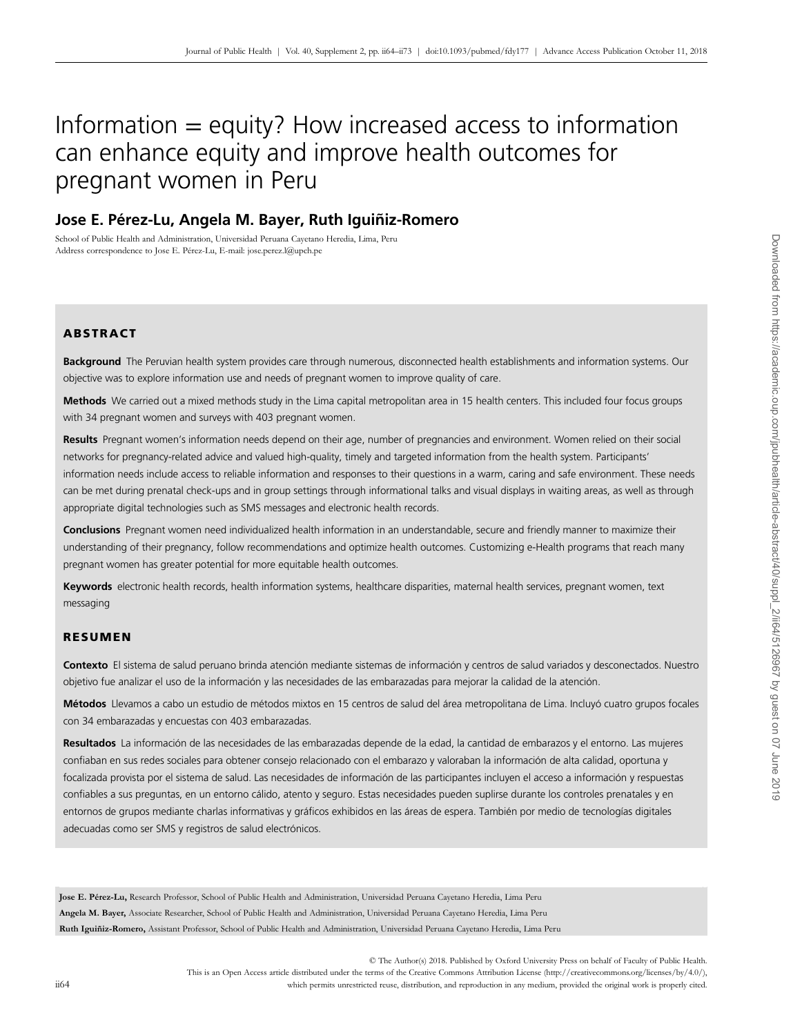# Information  $=$  equity? How increased access to information can enhance equity and improve health outcomes for pregnant women in Peru

# Jose E. Pérez-Lu, Angela M. Bayer, Ruth Iguiñiz-Romero

School of Public Health and Administration, Universidad Peruana Cayetano Heredia, Lima, Peru Address correspondence to Jose E. Pérez-Lu, E-mail: jose.perez.l@upch.pe

# **ABSTRACT**

Background The Peruvian health system provides care through numerous, disconnected health establishments and information systems. Our objective was to explore information use and needs of pregnant women to improve quality of care.

Methods We carried out a mixed methods study in the Lima capital metropolitan area in 15 health centers. This included four focus groups with 34 pregnant women and surveys with 403 pregnant women.

Results Pregnant women's information needs depend on their age, number of pregnancies and environment. Women relied on their social networks for pregnancy-related advice and valued high-quality, timely and targeted information from the health system. Participants' information needs include access to reliable information and responses to their questions in a warm, caring and safe environment. These needs can be met during prenatal check-ups and in group settings through informational talks and visual displays in waiting areas, as well as through appropriate digital technologies such as SMS messages and electronic health records.

Conclusions Pregnant women need individualized health information in an understandable, secure and friendly manner to maximize their understanding of their pregnancy, follow recommendations and optimize health outcomes. Customizing e-Health programs that reach many pregnant women has greater potential for more equitable health outcomes.

Keywords electronic health records, health information systems, healthcare disparities, maternal health services, pregnant women, text messaging

# RESUMEN

Contexto El sistema de salud peruano brinda atención mediante sistemas de información y centros de salud variados y desconectados. Nuestro objetivo fue analizar el uso de la información y las necesidades de las embarazadas para mejorar la calidad de la atención.

Métodos Llevamos a cabo un estudio de métodos mixtos en 15 centros de salud del área metropolitana de Lima. Incluyó cuatro grupos focales con 34 embarazadas y encuestas con 403 embarazadas.

Resultados La información de las necesidades de las embarazadas depende de la edad, la cantidad de embarazos y el entorno. Las mujeres confiaban en sus redes sociales para obtener consejo relacionado con el embarazo y valoraban la información de alta calidad, oportuna y focalizada provista por el sistema de salud. Las necesidades de información de las participantes incluyen el acceso a información y respuestas confiables a sus preguntas, en un entorno cálido, atento y seguro. Estas necesidades pueden suplirse durante los controles prenatales y en entornos de grupos mediante charlas informativas y gráficos exhibidos en las áreas de espera. También por medio de tecnologías digitales adecuadas como ser SMS y registros de salud electrónicos.

Jose E. Pérez-Lu, Research Professor, School of Public Health and Administration, Universidad Peruana Cayetano Heredia, Lima Peru Angela M. Bayer, Associate Researcher, School of Public Health and Administration, Universidad Peruana Cayetano Heredia, Lima Peru Ruth Iguiñiz-Romero, Assistant Professor, School of Public Health and Administration, Universidad Peruana Cayetano Heredia, Lima Peru

© The Author(s) 2018. Published by Oxford University Press on behalf of Faculty of Public Health.

This is an Open Access article distributed under the terms of the Creative Commons Attribution License [\(http://creativecommons.org/licenses/by/4.0/\)](http://creativecommons.org/licenses/by/4.0/), ii64 which permits unrestricted reuse, distribution, and reproduction in any medium, provided the original work is properly cited.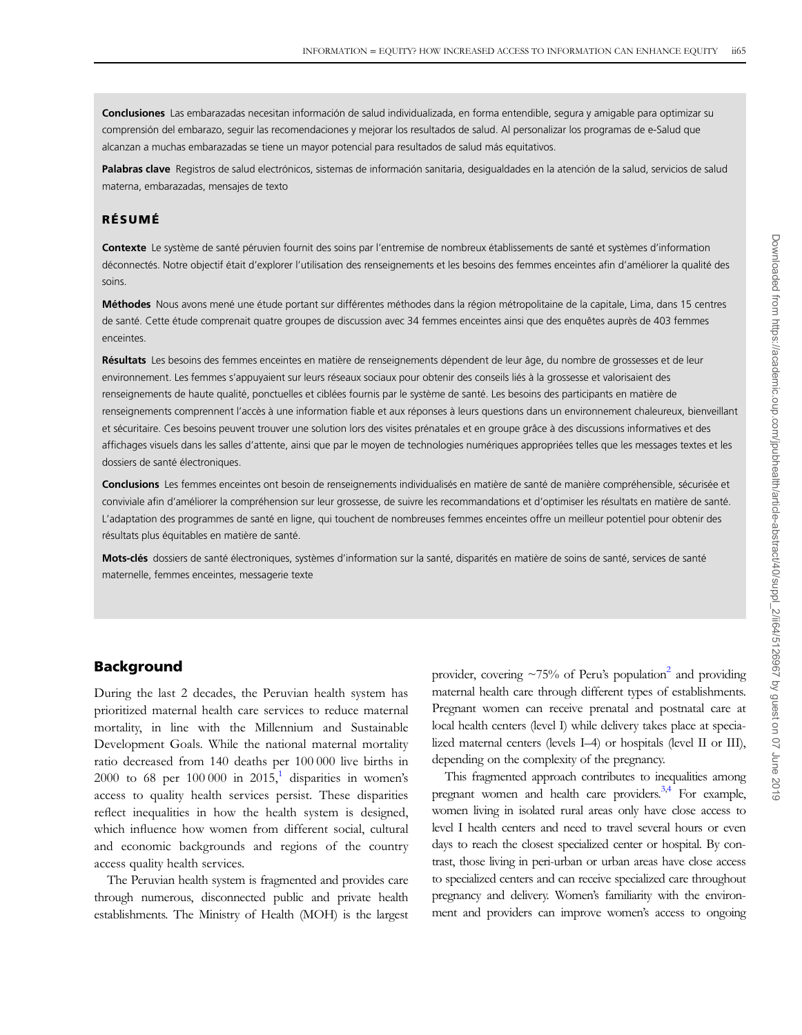Conclusiones Las embarazadas necesitan información de salud individualizada, en forma entendible, segura y amigable para optimizar su comprensión del embarazo, seguir las recomendaciones y mejorar los resultados de salud. Al personalizar los programas de e-Salud que alcanzan a muchas embarazadas se tiene un mayor potencial para resultados de salud más equitativos.

Palabras clave Registros de salud electrónicos, sistemas de información sanitaria, desigualdades en la atención de la salud, servicios de salud materna, embarazadas, mensajes de texto

## RÉSUMÉ

Contexte Le système de santé péruvien fournit des soins par l'entremise de nombreux établissements de santé et systèmes d'information déconnectés. Notre objectif était d'explorer l'utilisation des renseignements et les besoins des femmes enceintes afin d'améliorer la qualité des soins.

Méthodes Nous avons mené une étude portant sur différentes méthodes dans la région métropolitaine de la capitale, Lima, dans 15 centres de santé. Cette étude comprenait quatre groupes de discussion avec 34 femmes enceintes ainsi que des enquêtes auprès de 403 femmes enceintes.

Résultats Les besoins des femmes enceintes en matière de renseignements dépendent de leur âge, du nombre de grossesses et de leur environnement. Les femmes s'appuyaient sur leurs réseaux sociaux pour obtenir des conseils liés à la grossesse et valorisaient des renseignements de haute qualité, ponctuelles et ciblées fournis par le système de santé. Les besoins des participants en matière de renseignements comprennent l'accès à une information fiable et aux réponses à leurs questions dans un environnement chaleureux, bienveillant et sécuritaire. Ces besoins peuvent trouver une solution lors des visites prénatales et en groupe grâce à des discussions informatives et des affichages visuels dans les salles d'attente, ainsi que par le moyen de technologies numériques appropriées telles que les messages textes et les dossiers de santé électroniques.

Conclusions Les femmes enceintes ont besoin de renseignements individualisés en matière de santé de manière compréhensible, sécurisée et conviviale afin d'améliorer la compréhension sur leur grossesse, de suivre les recommandations et d'optimiser les résultats en matière de santé. L'adaptation des programmes de santé en ligne, qui touchent de nombreuses femmes enceintes offre un meilleur potentiel pour obtenir des résultats plus équitables en matière de santé.

Mots-clés dossiers de santé électroniques, systèmes d'information sur la santé, disparités en matière de soins de santé, services de santé maternelle, femmes enceintes, messagerie texte

## Background

During the last 2 decades, the Peruvian health system has prioritized maternal health care services to reduce maternal mortality, in line with the Millennium and Sustainable Development Goals. While the national maternal mortality ratio decreased from 140 deaths per 100 000 live births in 2000 to 68 per  $100\,000$  $100\,000$  in  $2015$ ,<sup>1</sup> disparities in women's access to quality health services persist. These disparities reflect inequalities in how the health system is designed, which influence how women from different social, cultural and economic backgrounds and regions of the country access quality health services.

The Peruvian health system is fragmented and provides care through numerous, disconnected public and private health establishments. The Ministry of Health (MOH) is the largest

provider, covering  $\sim$ 75% of Peru's population<sup>2</sup> and providing maternal health care through different types of establishments. Pregnant women can receive prenatal and postnatal care at local health centers (level I) while delivery takes place at specialized maternal centers (levels I–4) or hospitals (level II or III), depending on the complexity of the pregnancy.

This fragmented approach contributes to inequalities among pregnant women and health care providers.<sup>[3,4](#page-9-0)</sup> For example, women living in isolated rural areas only have close access to level I health centers and need to travel several hours or even days to reach the closest specialized center or hospital. By contrast, those living in peri-urban or urban areas have close access to specialized centers and can receive specialized care throughout pregnancy and delivery. Women's familiarity with the environment and providers can improve women's access to ongoing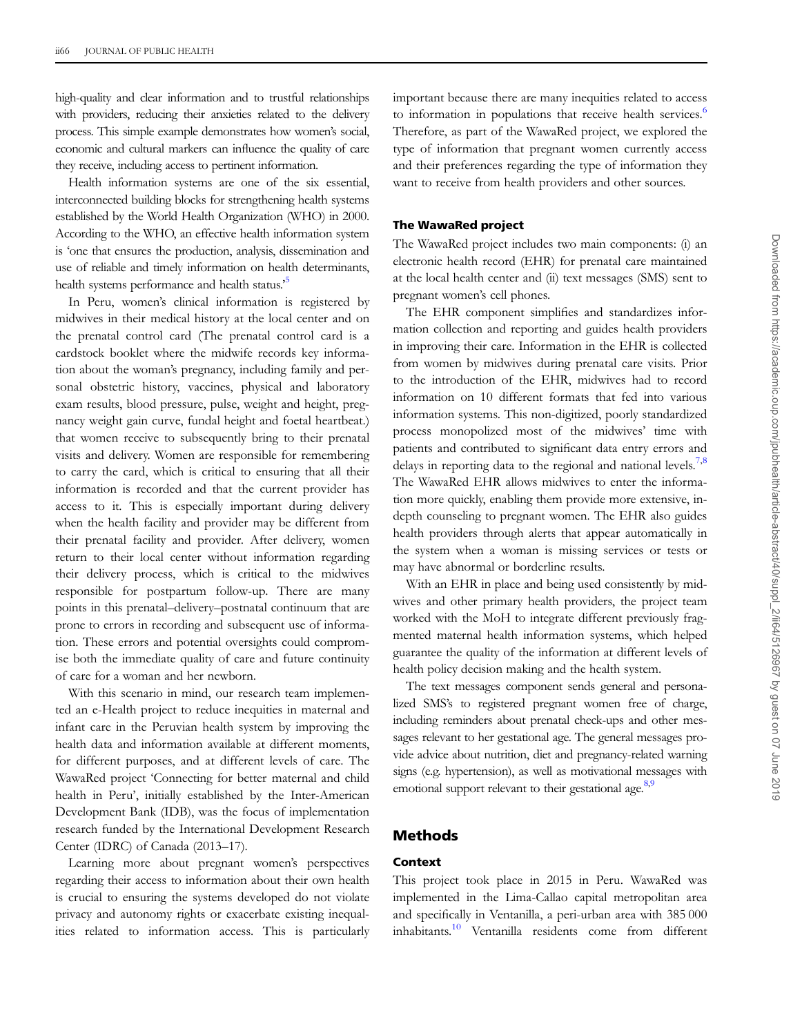high-quality and clear information and to trustful relationships with providers, reducing their anxieties related to the delivery process. This simple example demonstrates how women's social, economic and cultural markers can influence the quality of care they receive, including access to pertinent information.

Health information systems are one of the six essential, interconnected building blocks for strengthening health systems established by the World Health Organization (WHO) in 2000. According to the WHO, an effective health information system is 'one that ensures the production, analysis, dissemination and use of reliable and timely information on health determinants, health systems performance and health status.<sup>[5](#page-9-0)</sup>

In Peru, women's clinical information is registered by midwives in their medical history at the local center and on the prenatal control card (The prenatal control card is a cardstock booklet where the midwife records key information about the woman's pregnancy, including family and personal obstetric history, vaccines, physical and laboratory exam results, blood pressure, pulse, weight and height, pregnancy weight gain curve, fundal height and foetal heartbeat.) that women receive to subsequently bring to their prenatal visits and delivery. Women are responsible for remembering to carry the card, which is critical to ensuring that all their information is recorded and that the current provider has access to it. This is especially important during delivery when the health facility and provider may be different from their prenatal facility and provider. After delivery, women return to their local center without information regarding their delivery process, which is critical to the midwives responsible for postpartum follow-up. There are many points in this prenatal–delivery–postnatal continuum that are prone to errors in recording and subsequent use of information. These errors and potential oversights could compromise both the immediate quality of care and future continuity of care for a woman and her newborn.

With this scenario in mind, our research team implemented an e-Health project to reduce inequities in maternal and infant care in the Peruvian health system by improving the health data and information available at different moments, for different purposes, and at different levels of care. The WawaRed project 'Connecting for better maternal and child health in Peru', initially established by the Inter-American Development Bank (IDB), was the focus of implementation research funded by the International Development Research Center (IDRC) of Canada (2013–17).

Learning more about pregnant women's perspectives regarding their access to information about their own health is crucial to ensuring the systems developed do not violate privacy and autonomy rights or exacerbate existing inequalities related to information access. This is particularly important because there are many inequities related to access to information in populations that receive health services.<sup>[6](#page-9-0)</sup> Therefore, as part of the WawaRed project, we explored the type of information that pregnant women currently access and their preferences regarding the type of information they want to receive from health providers and other sources.

#### The WawaRed project

The WawaRed project includes two main components: (i) an electronic health record (EHR) for prenatal care maintained at the local health center and (ii) text messages (SMS) sent to pregnant women's cell phones.

The EHR component simplifies and standardizes information collection and reporting and guides health providers in improving their care. Information in the EHR is collected from women by midwives during prenatal care visits. Prior to the introduction of the EHR, midwives had to record information on 10 different formats that fed into various information systems. This non-digitized, poorly standardized process monopolized most of the midwives' time with patients and contributed to significant data entry errors and delays in reporting data to the regional and national levels.<sup>7,8</sup> The WawaRed EHR allows midwives to enter the information more quickly, enabling them provide more extensive, indepth counseling to pregnant women. The EHR also guides health providers through alerts that appear automatically in the system when a woman is missing services or tests or may have abnormal or borderline results.

With an EHR in place and being used consistently by midwives and other primary health providers, the project team worked with the MoH to integrate different previously fragmented maternal health information systems, which helped guarantee the quality of the information at different levels of health policy decision making and the health system.

The text messages component sends general and personalized SMS's to registered pregnant women free of charge, including reminders about prenatal check-ups and other messages relevant to her gestational age. The general messages provide advice about nutrition, diet and pregnancy-related warning signs (e.g. hypertension), as well as motivational messages with emotional support relevant to their gestational age.<sup>[8](#page-9-0),[9](#page-9-0)</sup>

# Methods

#### Context

This project took place in 2015 in Peru. WawaRed was implemented in the Lima-Callao capital metropolitan area and specifically in Ventanilla, a peri-urban area with 385 000 inhabitants.[10](#page-9-0) Ventanilla residents come from different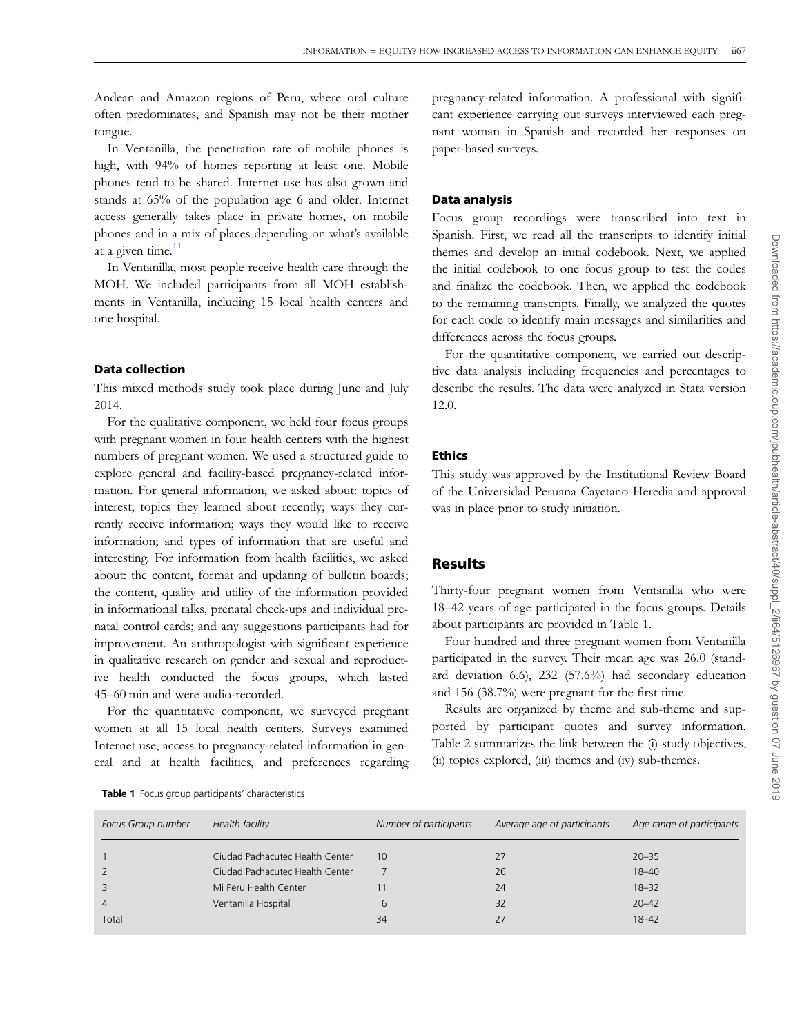Andean and Amazon regions of Peru, where oral culture often predominates, and Spanish may not be their mother tongue.

In Ventanilla, the penetration rate of mobile phones is high, with 94% of homes reporting at least one. Mobile phones tend to be shared. Internet use has also grown and stands at 65% of the population age 6 and older. Internet access generally takes place in private homes, on mobile phones and in a mix of places depending on what's available at a given time. $11$ 

In Ventanilla, most people receive health care through the MOH. We included participants from all MOH establishments in Ventanilla, including 15 local health centers and one hospital.

#### Data collection

This mixed methods study took place during June and July 2014.

For the qualitative component, we held four focus groups with pregnant women in four health centers with the highest numbers of pregnant women. We used a structured guide to explore general and facility-based pregnancy-related information. For general information, we asked about: topics of interest; topics they learned about recently; ways they currently receive information; ways they would like to receive information; and types of information that are useful and interesting. For information from health facilities, we asked about: the content, format and updating of bulletin boards; the content, quality and utility of the information provided in informational talks, prenatal check-ups and individual prenatal control cards; and any suggestions participants had for improvement. An anthropologist with significant experience in qualitative research on gender and sexual and reproductive health conducted the focus groups, which lasted 45–60 min and were audio-recorded.

For the quantitative component, we surveyed pregnant women at all 15 local health centers. Surveys examined Internet use, access to pregnancy-related information in general and at health facilities, and preferences regarding

pregnancy-related information. A professional with significant experience carrying out surveys interviewed each pregnant woman in Spanish and recorded her responses on paper-based surveys.

#### Data analysis

Focus group recordings were transcribed into text in Spanish. First, we read all the transcripts to identify initial themes and develop an initial codebook. Next, we applied the initial codebook to one focus group to test the codes and finalize the codebook. Then, we applied the codebook to the remaining transcripts. Finally, we analyzed the quotes for each code to identify main messages and similarities and differences across the focus groups.

For the quantitative component, we carried out descriptive data analysis including frequencies and percentages to describe the results. The data were analyzed in Stata version 12.0.

#### Ethics

This study was approved by the Institutional Review Board of the Universidad Peruana Cayetano Heredia and approval was in place prior to study initiation.

# **Results**

Thirty-four pregnant women from Ventanilla who were 18–42 years of age participated in the focus groups. Details about participants are provided in Table 1.

Four hundred and three pregnant women from Ventanilla participated in the survey. Their mean age was 26.0 (standard deviation 6.6), 232 (57.6%) had secondary education and 156 (38.7%) were pregnant for the first time.

Results are organized by theme and sub-theme and supported by participant quotes and survey information. Table [2](#page-4-0) summarizes the link between the (i) study objectives, (ii) topics explored, (iii) themes and (iv) sub-themes.

|  |  |  |  | Table 1 Focus group participants' characteristics |
|--|--|--|--|---------------------------------------------------|
|--|--|--|--|---------------------------------------------------|

| Focus Group number | Health facility                 | Number of participants | Average age of participants | Age range of participants |
|--------------------|---------------------------------|------------------------|-----------------------------|---------------------------|
|                    | Ciudad Pachacutec Health Center | 10                     | 27                          | $20 - 35$                 |
| $\overline{2}$     | Ciudad Pachacutec Health Center |                        | 26                          | $18 - 40$                 |
| 3                  | Mi Peru Health Center           |                        | 24                          | $18 - 32$                 |
| $\overline{4}$     | Ventanilla Hospital             | 6                      | 32                          | $20 - 42$                 |
| Total              |                                 | 34                     | 27                          | $18 - 42$                 |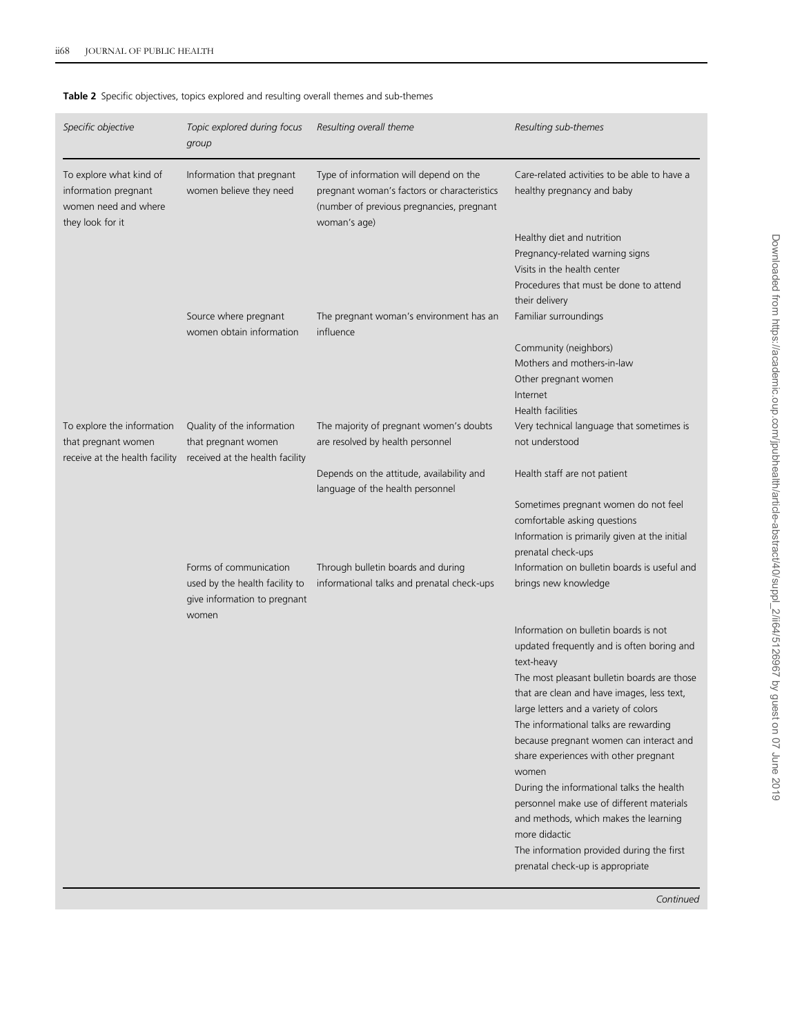<span id="page-4-0"></span>Table 2 Specific objectives, topics explored and resulting overall themes and sub-themes

| Specific objective                                                                          | Topic explored during focus<br>group                                                              | Resulting overall theme                                                                                                                            | Resulting sub-themes                                                                                                                                                                                                                                                     |
|---------------------------------------------------------------------------------------------|---------------------------------------------------------------------------------------------------|----------------------------------------------------------------------------------------------------------------------------------------------------|--------------------------------------------------------------------------------------------------------------------------------------------------------------------------------------------------------------------------------------------------------------------------|
| To explore what kind of<br>information pregnant<br>women need and where<br>they look for it | Information that pregnant<br>women believe they need                                              | Type of information will depend on the<br>pregnant woman's factors or characteristics<br>(number of previous pregnancies, pregnant<br>woman's age) | Care-related activities to be able to have a<br>healthy pregnancy and baby                                                                                                                                                                                               |
|                                                                                             |                                                                                                   |                                                                                                                                                    | Healthy diet and nutrition<br>Pregnancy-related warning signs<br>Visits in the health center<br>Procedures that must be done to attend                                                                                                                                   |
|                                                                                             | Source where pregnant<br>women obtain information                                                 | The pregnant woman's environment has an<br>influence                                                                                               | their delivery<br>Familiar surroundings                                                                                                                                                                                                                                  |
|                                                                                             |                                                                                                   |                                                                                                                                                    | Community (neighbors)<br>Mothers and mothers-in-law<br>Other pregnant women<br>Internet<br>Health facilities                                                                                                                                                             |
| To explore the information<br>that pregnant women<br>receive at the health facility         | Quality of the information<br>that pregnant women<br>received at the health facility              | The majority of pregnant women's doubts<br>are resolved by health personnel                                                                        | Very technical language that sometimes is<br>not understood                                                                                                                                                                                                              |
|                                                                                             |                                                                                                   | Depends on the attitude, availability and<br>language of the health personnel                                                                      | Health staff are not patient                                                                                                                                                                                                                                             |
|                                                                                             |                                                                                                   |                                                                                                                                                    | Sometimes pregnant women do not feel<br>comfortable asking questions<br>Information is primarily given at the initial<br>prenatal check-ups                                                                                                                              |
|                                                                                             | Forms of communication<br>used by the health facility to<br>give information to pregnant<br>women | Through bulletin boards and during<br>informational talks and prenatal check-ups                                                                   | Information on bulletin boards is useful and<br>brings new knowledge                                                                                                                                                                                                     |
|                                                                                             |                                                                                                   |                                                                                                                                                    | Information on bulletin boards is not<br>updated frequently and is often boring and<br>text-heavy                                                                                                                                                                        |
|                                                                                             |                                                                                                   |                                                                                                                                                    | The most pleasant bulletin boards are those<br>that are clean and have images, less text,<br>large letters and a variety of colors<br>The informational talks are rewarding<br>because pregnant women can interact and<br>share experiences with other pregnant<br>women |
|                                                                                             |                                                                                                   |                                                                                                                                                    | During the informational talks the health<br>personnel make use of different materials<br>and methods, which makes the learning<br>more didactic<br>The information provided during the first<br>prenatal check-up is appropriate                                        |

Continued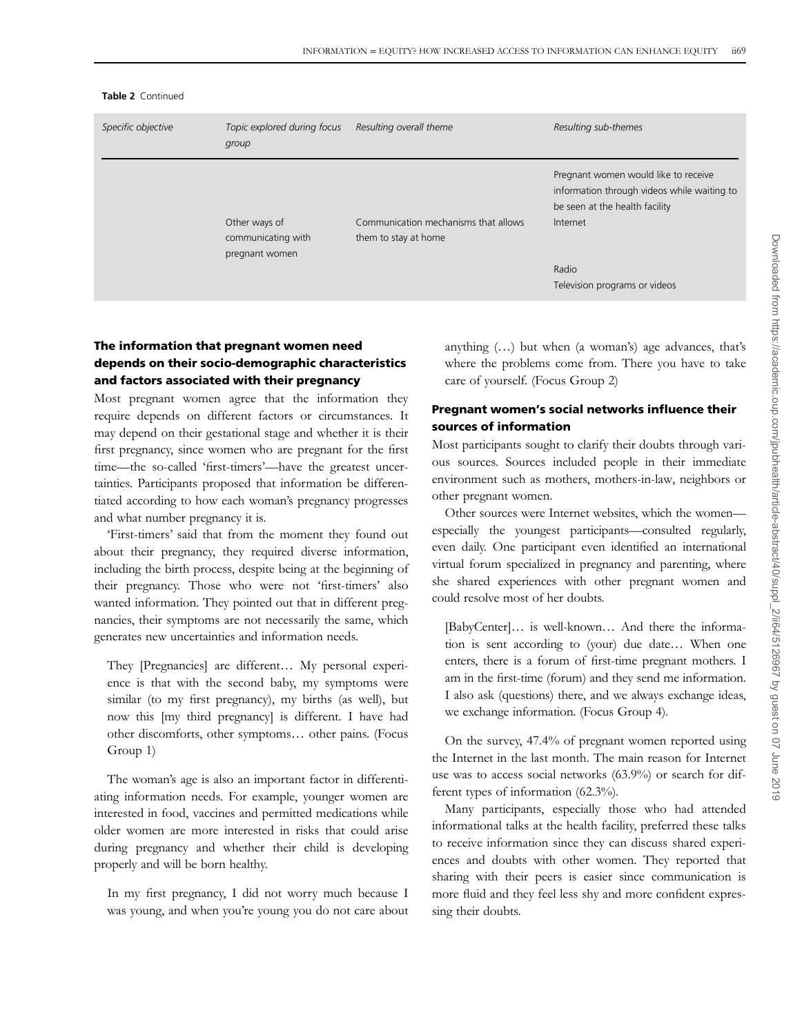| Specific objective | Topic explored during focus<br>group                  | Resulting overall theme                                      | Resulting sub-themes                                                                                                              |
|--------------------|-------------------------------------------------------|--------------------------------------------------------------|-----------------------------------------------------------------------------------------------------------------------------------|
|                    | Other ways of<br>communicating with<br>pregnant women | Communication mechanisms that allows<br>them to stay at home | Pregnant women would like to receive<br>information through videos while waiting to<br>be seen at the health facility<br>Internet |
|                    |                                                       |                                                              | Radio<br>Television programs or videos                                                                                            |

#### Table 2 Continued

# The information that pregnant women need depends on their socio-demographic characteristics and factors associated with their pregnancy

Most pregnant women agree that the information they require depends on different factors or circumstances. It may depend on their gestational stage and whether it is their first pregnancy, since women who are pregnant for the first time—the so-called 'first-timers'—have the greatest uncertainties. Participants proposed that information be differentiated according to how each woman's pregnancy progresses and what number pregnancy it is.

'First-timers' said that from the moment they found out about their pregnancy, they required diverse information, including the birth process, despite being at the beginning of their pregnancy. Those who were not 'first-timers' also wanted information. They pointed out that in different pregnancies, their symptoms are not necessarily the same, which generates new uncertainties and information needs.

They [Pregnancies] are different… My personal experience is that with the second baby, my symptoms were similar (to my first pregnancy), my births (as well), but now this [my third pregnancy] is different. I have had other discomforts, other symptoms… other pains. (Focus Group 1)

The woman's age is also an important factor in differentiating information needs. For example, younger women are interested in food, vaccines and permitted medications while older women are more interested in risks that could arise during pregnancy and whether their child is developing properly and will be born healthy.

In my first pregnancy, I did not worry much because I was young, and when you're young you do not care about anything (…) but when (a woman's) age advances, that's where the problems come from. There you have to take care of yourself. (Focus Group 2)

# Pregnant women's social networks influence their sources of information

Most participants sought to clarify their doubts through various sources. Sources included people in their immediate environment such as mothers, mothers-in-law, neighbors or other pregnant women.

Other sources were Internet websites, which the women especially the youngest participants—consulted regularly, even daily. One participant even identified an international virtual forum specialized in pregnancy and parenting, where she shared experiences with other pregnant women and could resolve most of her doubts.

[BabyCenter]… is well-known… And there the information is sent according to (your) due date… When one enters, there is a forum of first-time pregnant mothers. I am in the first-time (forum) and they send me information. I also ask (questions) there, and we always exchange ideas, we exchange information. (Focus Group 4).

On the survey, 47.4% of pregnant women reported using the Internet in the last month. The main reason for Internet use was to access social networks (63.9%) or search for different types of information (62.3%).

Many participants, especially those who had attended informational talks at the health facility, preferred these talks to receive information since they can discuss shared experiences and doubts with other women. They reported that sharing with their peers is easier since communication is more fluid and they feel less shy and more confident expressing their doubts.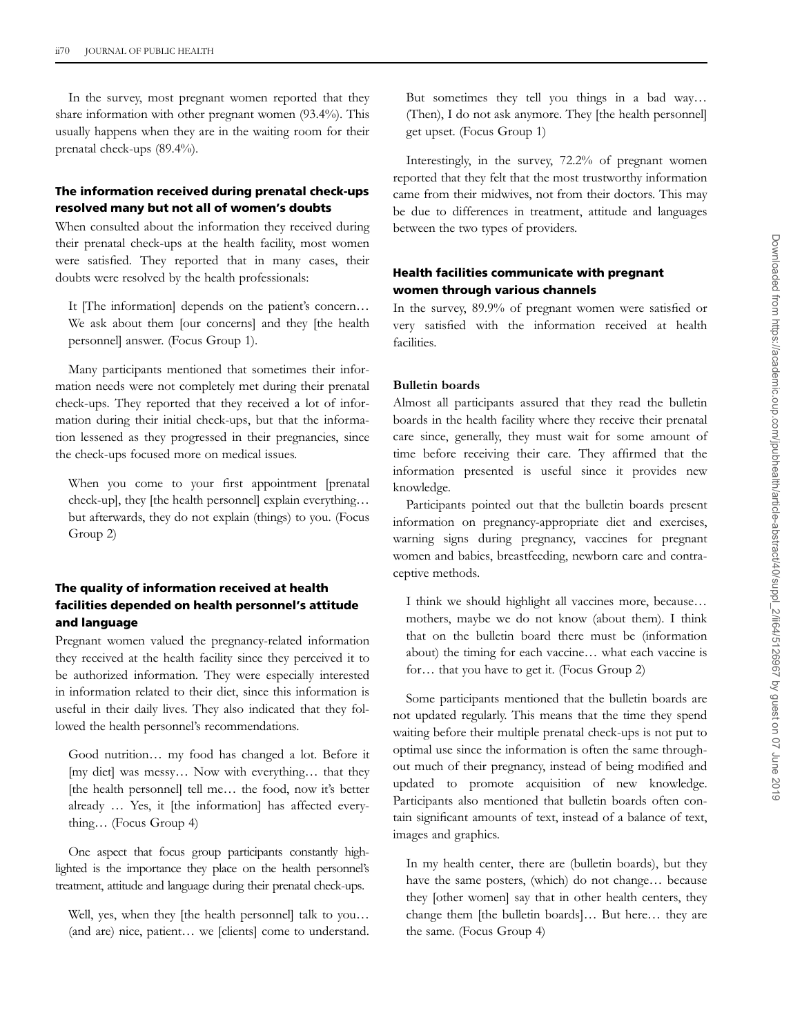In the survey, most pregnant women reported that they share information with other pregnant women (93.4%). This usually happens when they are in the waiting room for their prenatal check-ups (89.4%).

# The information received during prenatal check-ups resolved many but not all of women's doubts

When consulted about the information they received during their prenatal check-ups at the health facility, most women were satisfied. They reported that in many cases, their doubts were resolved by the health professionals:

It [The information] depends on the patient's concern... We ask about them [our concerns] and they [the health personnel] answer. (Focus Group 1).

Many participants mentioned that sometimes their information needs were not completely met during their prenatal check-ups. They reported that they received a lot of information during their initial check-ups, but that the information lessened as they progressed in their pregnancies, since the check-ups focused more on medical issues.

When you come to your first appointment [prenatal check-up], they [the health personnel] explain everything… but afterwards, they do not explain (things) to you. (Focus Group 2)

# The quality of information received at health facilities depended on health personnel's attitude and language

Pregnant women valued the pregnancy-related information they received at the health facility since they perceived it to be authorized information. They were especially interested in information related to their diet, since this information is useful in their daily lives. They also indicated that they followed the health personnel's recommendations.

Good nutrition… my food has changed a lot. Before it [my diet] was messy… Now with everything… that they [the health personnel] tell me... the food, now it's better already … Yes, it [the information] has affected everything… (Focus Group 4)

One aspect that focus group participants constantly highlighted is the importance they place on the health personnel's treatment, attitude and language during their prenatal check-ups.

Well, yes, when they [the health personnel] talk to you… (and are) nice, patient… we [clients] come to understand. But sometimes they tell you things in a bad way… (Then), I do not ask anymore. They [the health personnel] get upset. (Focus Group 1)

Interestingly, in the survey, 72.2% of pregnant women reported that they felt that the most trustworthy information came from their midwives, not from their doctors. This may be due to differences in treatment, attitude and languages between the two types of providers.

# Health facilities communicate with pregnant women through various channels

In the survey, 89.9% of pregnant women were satisfied or very satisfied with the information received at health facilities.

#### Bulletin boards

Almost all participants assured that they read the bulletin boards in the health facility where they receive their prenatal care since, generally, they must wait for some amount of time before receiving their care. They affirmed that the information presented is useful since it provides new knowledge.

Participants pointed out that the bulletin boards present information on pregnancy-appropriate diet and exercises, warning signs during pregnancy, vaccines for pregnant women and babies, breastfeeding, newborn care and contraceptive methods.

I think we should highlight all vaccines more, because… mothers, maybe we do not know (about them). I think that on the bulletin board there must be (information about) the timing for each vaccine… what each vaccine is for… that you have to get it. (Focus Group 2)

Some participants mentioned that the bulletin boards are not updated regularly. This means that the time they spend waiting before their multiple prenatal check-ups is not put to optimal use since the information is often the same throughout much of their pregnancy, instead of being modified and updated to promote acquisition of new knowledge. Participants also mentioned that bulletin boards often contain significant amounts of text, instead of a balance of text, images and graphics.

In my health center, there are (bulletin boards), but they have the same posters, (which) do not change… because they [other women] say that in other health centers, they change them [the bulletin boards]… But here… they are the same. (Focus Group 4)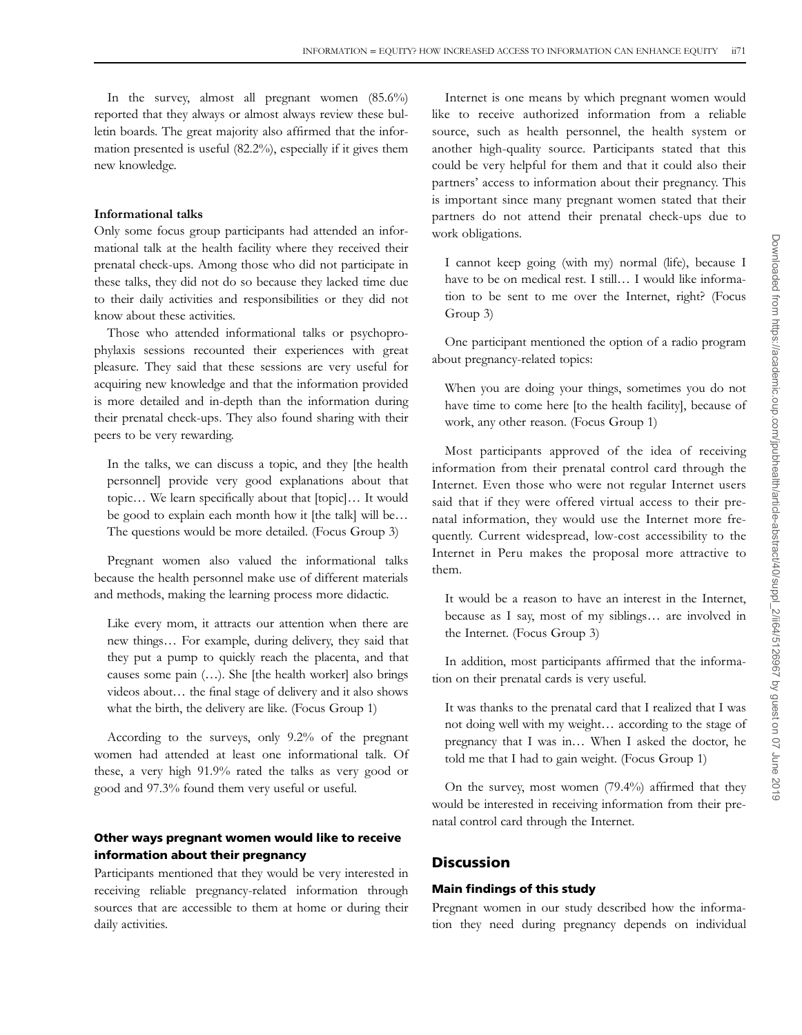In the survey, almost all pregnant women (85.6%) reported that they always or almost always review these bulletin boards. The great majority also affirmed that the information presented is useful (82.2%), especially if it gives them new knowledge.

#### Informational talks

Only some focus group participants had attended an informational talk at the health facility where they received their prenatal check-ups. Among those who did not participate in these talks, they did not do so because they lacked time due to their daily activities and responsibilities or they did not know about these activities.

Those who attended informational talks or psychoprophylaxis sessions recounted their experiences with great pleasure. They said that these sessions are very useful for acquiring new knowledge and that the information provided is more detailed and in-depth than the information during their prenatal check-ups. They also found sharing with their peers to be very rewarding.

In the talks, we can discuss a topic, and they [the health personnel] provide very good explanations about that topic… We learn specifically about that [topic]… It would be good to explain each month how it [the talk] will be… The questions would be more detailed. (Focus Group 3)

Pregnant women also valued the informational talks because the health personnel make use of different materials and methods, making the learning process more didactic.

Like every mom, it attracts our attention when there are new things… For example, during delivery, they said that they put a pump to quickly reach the placenta, and that causes some pain (…). She [the health worker] also brings videos about… the final stage of delivery and it also shows what the birth, the delivery are like. (Focus Group 1)

According to the surveys, only 9.2% of the pregnant women had attended at least one informational talk. Of these, a very high 91.9% rated the talks as very good or good and 97.3% found them very useful or useful.

# Other ways pregnant women would like to receive information about their pregnancy

Participants mentioned that they would be very interested in receiving reliable pregnancy-related information through sources that are accessible to them at home or during their daily activities.

Internet is one means by which pregnant women would like to receive authorized information from a reliable source, such as health personnel, the health system or another high-quality source. Participants stated that this could be very helpful for them and that it could also their partners' access to information about their pregnancy. This is important since many pregnant women stated that their partners do not attend their prenatal check-ups due to work obligations.

I cannot keep going (with my) normal (life), because I have to be on medical rest. I still... I would like information to be sent to me over the Internet, right? (Focus Group 3)

One participant mentioned the option of a radio program about pregnancy-related topics:

When you are doing your things, sometimes you do not have time to come here [to the health facility], because of work, any other reason. (Focus Group 1)

Most participants approved of the idea of receiving information from their prenatal control card through the Internet. Even those who were not regular Internet users said that if they were offered virtual access to their prenatal information, they would use the Internet more frequently. Current widespread, low-cost accessibility to the Internet in Peru makes the proposal more attractive to them.

It would be a reason to have an interest in the Internet, because as I say, most of my siblings… are involved in the Internet. (Focus Group 3)

In addition, most participants affirmed that the information on their prenatal cards is very useful.

It was thanks to the prenatal card that I realized that I was not doing well with my weight… according to the stage of pregnancy that I was in… When I asked the doctor, he told me that I had to gain weight. (Focus Group 1)

On the survey, most women (79.4%) affirmed that they would be interested in receiving information from their prenatal control card through the Internet.

# **Discussion**

#### Main findings of this study

Pregnant women in our study described how the information they need during pregnancy depends on individual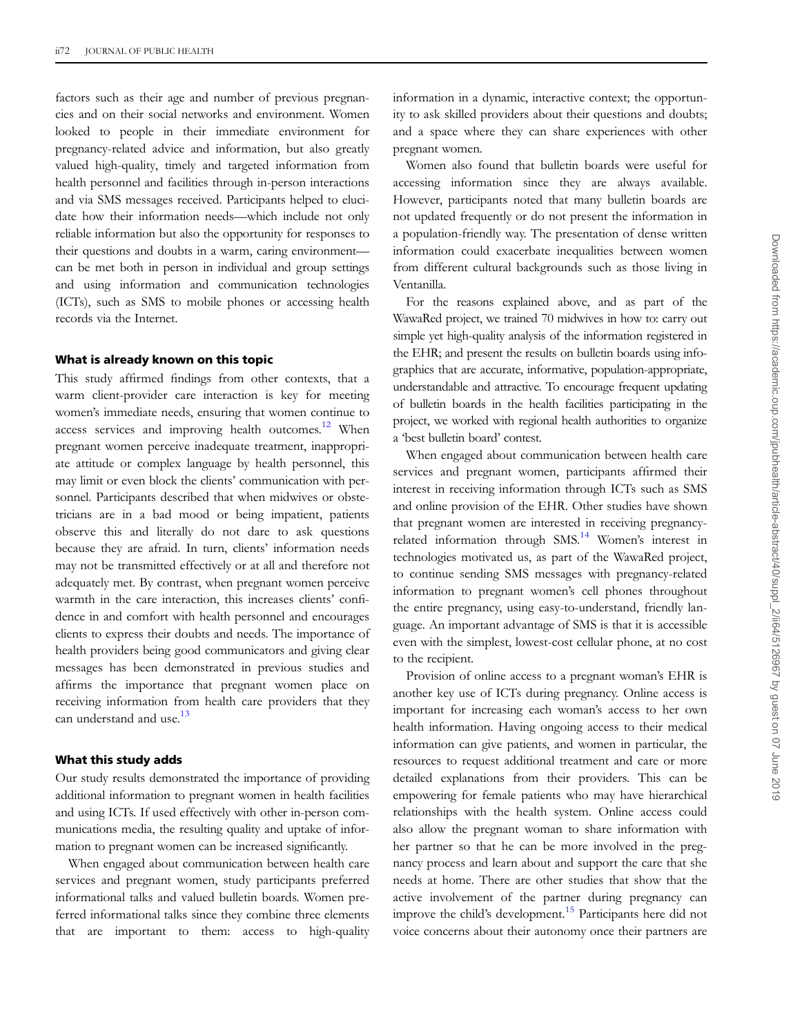factors such as their age and number of previous pregnancies and on their social networks and environment. Women looked to people in their immediate environment for pregnancy-related advice and information, but also greatly valued high-quality, timely and targeted information from health personnel and facilities through in-person interactions and via SMS messages received. Participants helped to elucidate how their information needs—which include not only reliable information but also the opportunity for responses to their questions and doubts in a warm, caring environment can be met both in person in individual and group settings and using information and communication technologies (ICTs), such as SMS to mobile phones or accessing health records via the Internet.

#### What is already known on this topic

This study affirmed findings from other contexts, that a warm client-provider care interaction is key for meeting women's immediate needs, ensuring that women continue to access services and improving health outcomes.<sup>[12](#page-9-0)</sup> When pregnant women perceive inadequate treatment, inappropriate attitude or complex language by health personnel, this may limit or even block the clients' communication with personnel. Participants described that when midwives or obstetricians are in a bad mood or being impatient, patients observe this and literally do not dare to ask questions because they are afraid. In turn, clients' information needs may not be transmitted effectively or at all and therefore not adequately met. By contrast, when pregnant women perceive warmth in the care interaction, this increases clients' confidence in and comfort with health personnel and encourages clients to express their doubts and needs. The importance of health providers being good communicators and giving clear messages has been demonstrated in previous studies and affirms the importance that pregnant women place on receiving information from health care providers that they can understand and use.<sup>[13](#page-9-0)</sup>

#### What this study adds

Our study results demonstrated the importance of providing additional information to pregnant women in health facilities and using ICTs. If used effectively with other in-person communications media, the resulting quality and uptake of information to pregnant women can be increased significantly.

When engaged about communication between health care services and pregnant women, study participants preferred informational talks and valued bulletin boards. Women preferred informational talks since they combine three elements that are important to them: access to high-quality

information in a dynamic, interactive context; the opportunity to ask skilled providers about their questions and doubts; and a space where they can share experiences with other pregnant women.

Women also found that bulletin boards were useful for accessing information since they are always available. However, participants noted that many bulletin boards are not updated frequently or do not present the information in a population-friendly way. The presentation of dense written information could exacerbate inequalities between women from different cultural backgrounds such as those living in Ventanilla.

For the reasons explained above, and as part of the WawaRed project, we trained 70 midwives in how to: carry out simple yet high-quality analysis of the information registered in the EHR; and present the results on bulletin boards using infographics that are accurate, informative, population-appropriate, understandable and attractive. To encourage frequent updating of bulletin boards in the health facilities participating in the project, we worked with regional health authorities to organize a 'best bulletin board' contest.

When engaged about communication between health care services and pregnant women, participants affirmed their interest in receiving information through ICTs such as SMS and online provision of the EHR. Other studies have shown that pregnant women are interested in receiving pregnancyrelated information through SMS.<sup>14</sup> Women's interest in technologies motivated us, as part of the WawaRed project, to continue sending SMS messages with pregnancy-related information to pregnant women's cell phones throughout the entire pregnancy, using easy-to-understand, friendly language. An important advantage of SMS is that it is accessible even with the simplest, lowest-cost cellular phone, at no cost to the recipient.

Provision of online access to a pregnant woman's EHR is another key use of ICTs during pregnancy. Online access is important for increasing each woman's access to her own health information. Having ongoing access to their medical information can give patients, and women in particular, the resources to request additional treatment and care or more detailed explanations from their providers. This can be empowering for female patients who may have hierarchical relationships with the health system. Online access could also allow the pregnant woman to share information with her partner so that he can be more involved in the pregnancy process and learn about and support the care that she needs at home. There are other studies that show that the active involvement of the partner during pregnancy can improve the child's development.<sup>[15](#page-9-0)</sup> Participants here did not voice concerns about their autonomy once their partners are